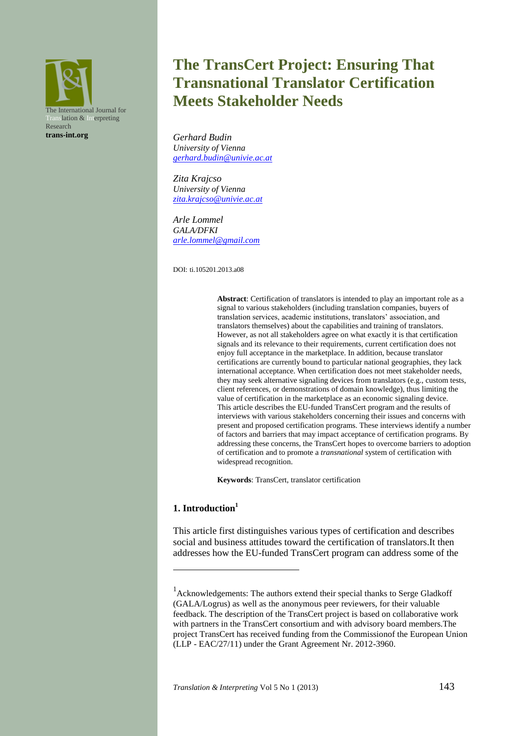

# **The TransCert Project: Ensuring That Transnational Translator Certification Meets Stakeholder Needs**

*Gerhard Budin University of Vienna [gerhard.budin@univie.ac.at](mailto:gerhard.budin@univie.ac.at)*

*Zita Krajcso University of Vienna [zita.krajcso@univie.ac.at](mailto:zita.krajcso@univie.ac.at)*

*Arle Lommel GALA/DFKI [arle.lommel@gmail.com](mailto:arle.lommel@gmail.com)*

DOI: ti.105201.2013.a08

**Abstract**: Certification of translators is intended to play an important role as a signal to various stakeholders (including translation companies, buyers of translation services, academic institutions, translators' association, and translators themselves) about the capabilities and training of translators. However, as not all stakeholders agree on what exactly it is that certification signals and its relevance to their requirements, current certification does not enjoy full acceptance in the marketplace. In addition, because translator certifications are currently bound to particular national geographies, they lack international acceptance. When certification does not meet stakeholder needs, they may seek alternative signaling devices from translators (e.g., custom tests, client references, or demonstrations of domain knowledge), thus limiting the value of certification in the marketplace as an economic signaling device. This article describes the EU-funded TransCert program and the results of interviews with various stakeholders concerning their issues and concerns with present and proposed certification programs. These interviews identify a number of factors and barriers that may impact acceptance of certification programs. By addressing these concerns, the TransCert hopes to overcome barriers to adoption of certification and to promote a *transnational* system of certification with widespread recognition.

**Keywords**: TransCert, translator certification

# **1. Introduction<sup>1</sup>**

<u>.</u>

This article first distinguishes various types of certification and describes social and business attitudes toward the certification of translators.It then addresses how the EU-funded TransCert program can address some of the

<sup>&</sup>lt;sup>1</sup> Acknowledgements: The authors extend their special thanks to Serge Gladkoff (GALA/Logrus) as well as the anonymous peer reviewers, for their valuable feedback. The description of the TransCert project is based on collaborative work with partners in the TransCert consortium and with advisory board members.The project TransCert has received funding from the Commissionof the European Union (LLP - EAC/27/11) under the Grant Agreement Nr. 2012-3960.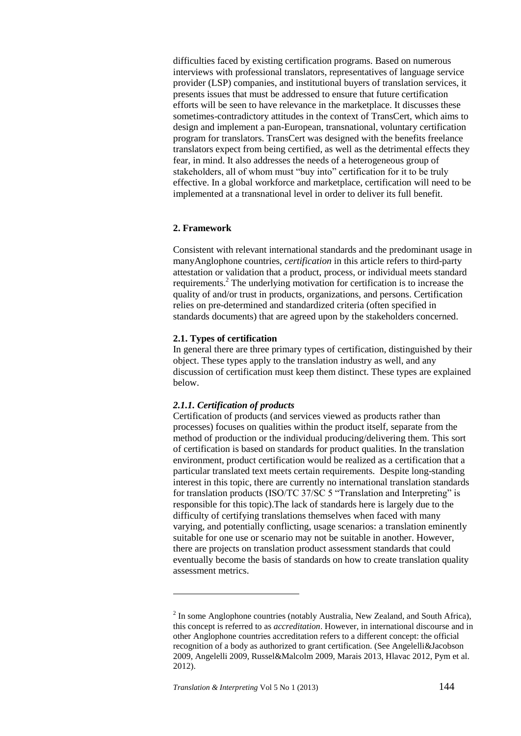difficulties faced by existing certification programs. Based on numerous interviews with professional translators, representatives of language service provider (LSP) companies, and institutional buyers of translation services, it presents issues that must be addressed to ensure that future certification efforts will be seen to have relevance in the marketplace. It discusses these sometimes-contradictory attitudes in the context of TransCert, which aims to design and implement a pan-European, transnational, voluntary certification program for translators. TransCert was designed with the benefits freelance translators expect from being certified, as well as the detrimental effects they fear, in mind. It also addresses the needs of a heterogeneous group of stakeholders, all of whom must "buy into" certification for it to be truly effective. In a global workforce and marketplace, certification will need to be implemented at a transnational level in order to deliver its full benefit.

## **2. Framework**

Consistent with relevant international standards and the predominant usage in manyAnglophone countries, *certification* in this article refers to third-party attestation or validation that a product, process, or individual meets standard requirements.<sup>2</sup> The underlying motivation for certification is to increase the quality of and/or trust in products, organizations, and persons. Certification relies on pre-determined and standardized criteria (often specified in standards documents) that are agreed upon by the stakeholders concerned.

#### **2.1. Types of certification**

In general there are three primary types of certification, distinguished by their object. These types apply to the translation industry as well, and any discussion of certification must keep them distinct. These types are explained below.

#### *2.1.1. Certification of products*

Certification of products (and services viewed as products rather than processes) focuses on qualities within the product itself, separate from the method of production or the individual producing/delivering them. This sort of certification is based on standards for product qualities. In the translation environment, product certification would be realized as a certification that a particular translated text meets certain requirements. Despite long-standing interest in this topic, there are currently no international translation standards for translation products (ISO/TC 37/SC 5 "Translation and Interpreting" is responsible for this topic).The lack of standards here is largely due to the difficulty of certifying translations themselves when faced with many varying, and potentially conflicting, usage scenarios: a translation eminently suitable for one use or scenario may not be suitable in another. However, there are projects on translation product assessment standards that could eventually become the basis of standards on how to create translation quality assessment metrics.

1

 $2$  In some Anglophone countries (notably Australia, New Zealand, and South Africa), this concept is referred to as *accreditation*. However, in international discourse and in other Anglophone countries accreditation refers to a different concept: the official recognition of a body as authorized to grant certification. (See Angelelli&Jacobson 2009, Angelelli 2009, Russel&Malcolm 2009, Marais 2013, Hlavac 2012, Pym et al. 2012).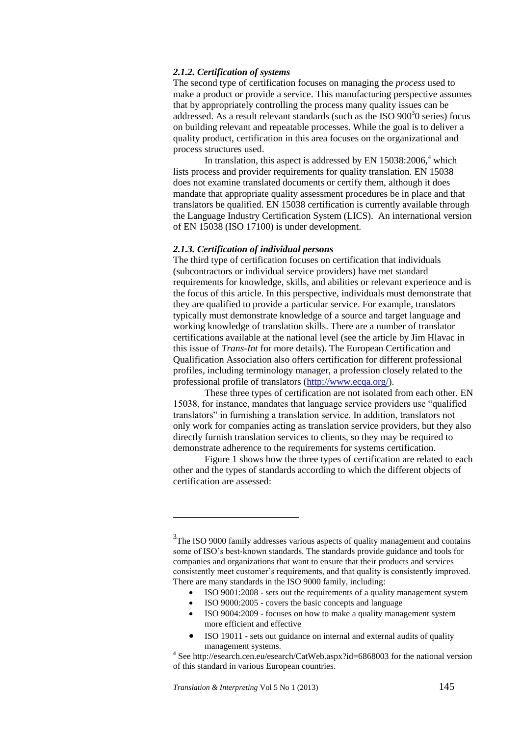## *2.1.2. Certification of systems*

The second type of certification focuses on managing the *process* used to make a product or provide a service. This manufacturing perspective assumes that by appropriately controlling the process many quality issues can be addressed. As a result relevant standards (such as the ISO  $900<sup>3</sup>0$  series) focus on building relevant and repeatable processes. While the goal is to deliver a quality product, certification in this area focuses on the organizational and process structures used.

In translation, this aspect is addressed by EN  $15038:2006$ ,<sup>4</sup> which lists process and provider requirements for quality translation. EN 15038 does not examine translated documents or certify them, although it does mandate that appropriate quality assessment procedures be in place and that translators be qualified. EN 15038 certification is currently available through the Language Industry Certification System (LICS). An international version of EN 15038 (ISO 17100) is under development.

## *2.1.3. Certification of individual persons*

The third type of certification focuses on certification that individuals (subcontractors or individual service providers) have met standard requirements for knowledge, skills, and abilities or relevant experience and is the focus of this article. In this perspective, individuals must demonstrate that they are qualified to provide a particular service. For example, translators typically must demonstrate knowledge of a source and target language and working knowledge of translation skills. There are a number of translator certifications available at the national level (see the article by Jim Hlavac in this issue of *Trans-Int* for more details). The European Certification and Qualification Association also offers certification for different professional profiles, including terminology manager, a profession closely related to the professional profile of translators [\(http://www.ecqa.org/\)](http://www.ecqa.org/).

These three types of certification are not isolated from each other. EN 15038, for instance, mandates that language service providers use "qualified translators" in furnishing a translation service. In addition, translators not only work for companies acting as translation service providers, but they also directly furnish translation services to clients, so they may be required to demonstrate adherence to the requirements for systems certification.

Figure 1 shows how the three types of certification are related to each other and the types of standards according to which the different objects of certification are assessed:

- ISO 9001:2008 sets out the requirements of a quality management system
- ISO 9000:2005 covers the basic concepts and language
- ISO 9004:2009 focuses on how to make a quality management system more efficient and effective
- ISO 19011 sets out guidance on internal and external audits of quality management systems.

1

<sup>&</sup>lt;sup>3</sup>The ISO 9000 family addresses various aspects of quality management and contains some of ISO's best-known standards. The standards provide guidance and tools for companies and organizations that want to ensure that their products and services consistently meet customer's requirements, and that quality is consistently improved. There are many standards in the ISO 9000 family, including:

<sup>&</sup>lt;sup>4</sup> See http://esearch.cen.eu/esearch/CatWeb.aspx?id=6868003 for the national version of this standard in various European countries.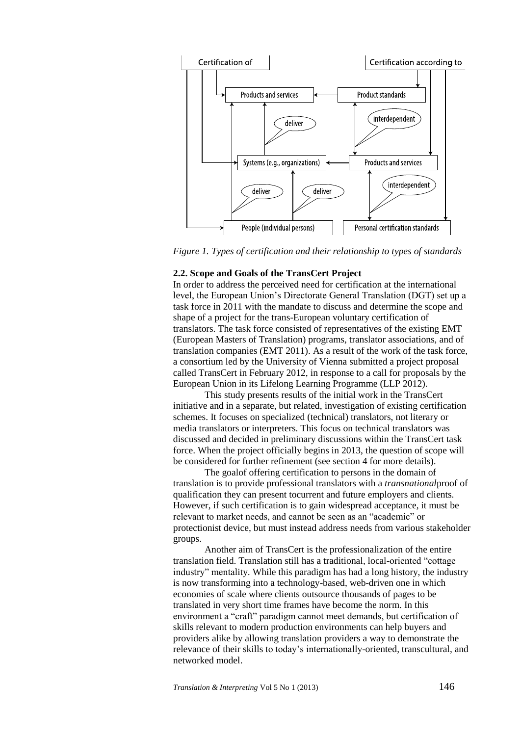

*Figure 1. Types of certification and their relationship to types of standards*

# **2.2. Scope and Goals of the TransCert Project**

In order to address the perceived need for certification at the international level, the European Union's Directorate General Translation (DGT) set up a task force in 2011 with the mandate to discuss and determine the scope and shape of a project for the trans-European voluntary certification of translators. The task force consisted of representatives of the existing EMT (European Masters of Translation) programs, translator associations, and of translation companies (EMT 2011). As a result of the work of the task force, a consortium led by the University of Vienna submitted a project proposal called TransCert in February 2012, in response to a call for proposals by the European Union in its Lifelong Learning Programme (LLP 2012).

This study presents results of the initial work in the TransCert initiative and in a separate, but related, investigation of existing certification schemes. It focuses on specialized (technical) translators, not literary or media translators or interpreters. This focus on technical translators was discussed and decided in preliminary discussions within the TransCert task force. When the project officially begins in 2013, the question of scope will be considered for further refinement (see section 4 for more details).

The goalof offering certification to persons in the domain of translation is to provide professional translators with a *transnational*proof of qualification they can present tocurrent and future employers and clients. However, if such certification is to gain widespread acceptance, it must be relevant to market needs, and cannot be seen as an "academic" or protectionist device, but must instead address needs from various stakeholder groups.

Another aim of TransCert is the professionalization of the entire translation field. Translation still has a traditional, local-oriented "cottage industry" mentality. While this paradigm has had a long history, the industry is now transforming into a technology-based, web-driven one in which economies of scale where clients outsource thousands of pages to be translated in very short time frames have become the norm. In this environment a "craft" paradigm cannot meet demands, but certification of skills relevant to modern production environments can help buyers and providers alike by allowing translation providers a way to demonstrate the relevance of their skills to today's internationally-oriented, transcultural, and networked model.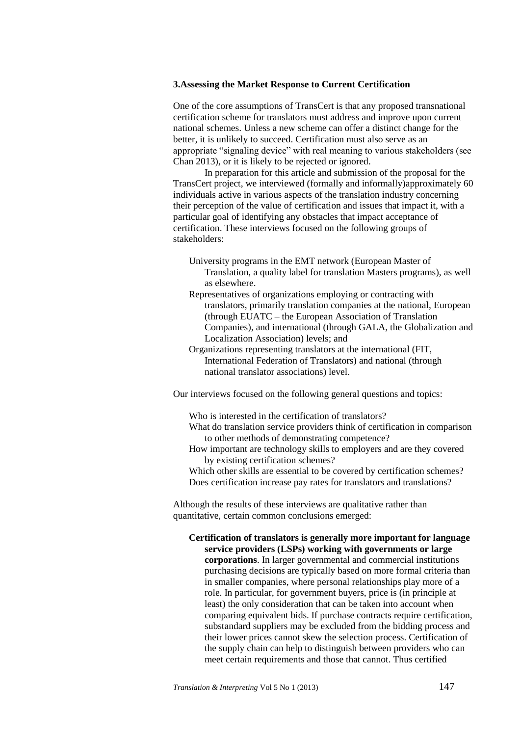# **3.Assessing the Market Response to Current Certification**

One of the core assumptions of TransCert is that any proposed transnational certification scheme for translators must address and improve upon current national schemes. Unless a new scheme can offer a distinct change for the better, it is unlikely to succeed. Certification must also serve as an appropriate "signaling device" with real meaning to various stakeholders (see Chan 2013), or it is likely to be rejected or ignored.

In preparation for this article and submission of the proposal for the TransCert project, we interviewed (formally and informally)approximately 60 individuals active in various aspects of the translation industry concerning their perception of the value of certification and issues that impact it, with a particular goal of identifying any obstacles that impact acceptance of certification. These interviews focused on the following groups of stakeholders:

- University programs in the EMT network (European Master of Translation, a quality label for translation Masters programs), as well as elsewhere.
- Representatives of organizations employing or contracting with translators, primarily translation companies at the national, European (through EUATC – the European Association of Translation Companies), and international (through GALA, the Globalization and Localization Association) levels; and
- Organizations representing translators at the international (FIT, International Federation of Translators) and national (through national translator associations) level.

Our interviews focused on the following general questions and topics:

Who is interested in the certification of translators?

- What do translation service providers think of certification in comparison to other methods of demonstrating competence?
- How important are technology skills to employers and are they covered by existing certification schemes?

Which other skills are essential to be covered by certification schemes? Does certification increase pay rates for translators and translations?

Although the results of these interviews are qualitative rather than quantitative, certain common conclusions emerged:

**Certification of translators is generally more important for language service providers (LSPs) working with governments or large corporations**. In larger governmental and commercial institutions purchasing decisions are typically based on more formal criteria than in smaller companies, where personal relationships play more of a role. In particular, for government buyers, price is (in principle at least) the only consideration that can be taken into account when comparing equivalent bids. If purchase contracts require certification, substandard suppliers may be excluded from the bidding process and their lower prices cannot skew the selection process. Certification of the supply chain can help to distinguish between providers who can meet certain requirements and those that cannot. Thus certified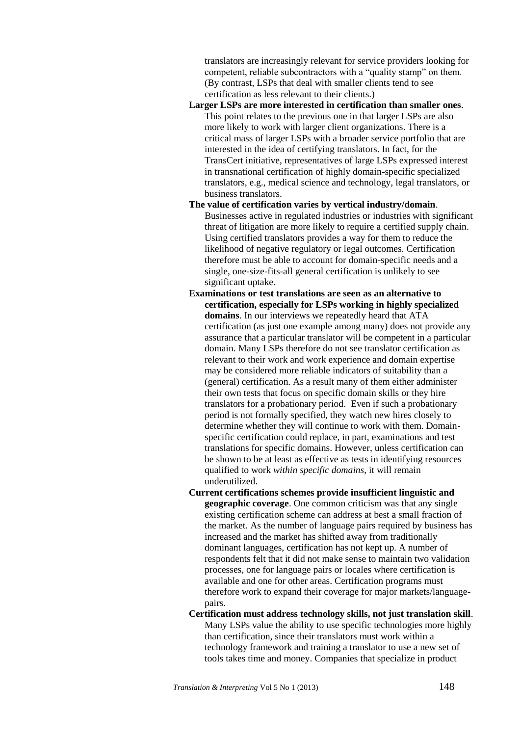translators are increasingly relevant for service providers looking for competent, reliable subcontractors with a "quality stamp" on them. (By contrast, LSPs that deal with smaller clients tend to see certification as less relevant to their clients.)

- **Larger LSPs are more interested in certification than smaller ones**. This point relates to the previous one in that larger LSPs are also more likely to work with larger client organizations. There is a critical mass of larger LSPs with a broader service portfolio that are interested in the idea of certifying translators. In fact, for the TransCert initiative, representatives of large LSPs expressed interest in transnational certification of highly domain-specific specialized translators, e.g., medical science and technology, legal translators, or business translators.
- **The value of certification varies by vertical industry/domain**. Businesses active in regulated industries or industries with significant threat of litigation are more likely to require a certified supply chain. Using certified translators provides a way for them to reduce the likelihood of negative regulatory or legal outcomes. Certification therefore must be able to account for domain-specific needs and a single, one-size-fits-all general certification is unlikely to see significant uptake.
- **Examinations or test translations are seen as an alternative to certification, especially for LSPs working in highly specialized domains**. In our interviews we repeatedly heard that ATA certification (as just one example among many) does not provide any assurance that a particular translator will be competent in a particular domain. Many LSPs therefore do not see translator certification as relevant to their work and work experience and domain expertise may be considered more reliable indicators of suitability than a (general) certification. As a result many of them either administer their own tests that focus on specific domain skills or they hire translators for a probationary period. Even if such a probationary period is not formally specified, they watch new hires closely to determine whether they will continue to work with them. Domainspecific certification could replace, in part, examinations and test translations for specific domains. However, unless certification can be shown to be at least as effective as tests in identifying resources qualified to work *within specific domains*, it will remain underutilized.
- **Current certifications schemes provide insufficient linguistic and geographic coverage**. One common criticism was that any single existing certification scheme can address at best a small fraction of the market. As the number of language pairs required by business has increased and the market has shifted away from traditionally dominant languages, certification has not kept up. A number of respondents felt that it did not make sense to maintain two validation processes, one for language pairs or locales where certification is available and one for other areas. Certification programs must therefore work to expand their coverage for major markets/languagepairs.
- **Certification must address technology skills, not just translation skill**. Many LSPs value the ability to use specific technologies more highly than certification, since their translators must work within a technology framework and training a translator to use a new set of tools takes time and money. Companies that specialize in product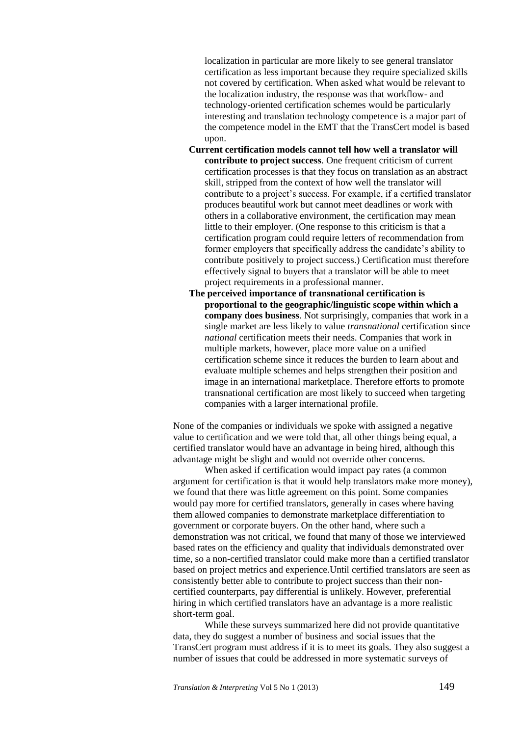localization in particular are more likely to see general translator certification as less important because they require specialized skills not covered by certification. When asked what would be relevant to the localization industry, the response was that workflow- and technology-oriented certification schemes would be particularly interesting and translation technology competence is a major part of the competence model in the EMT that the TransCert model is based upon.

- **Current certification models cannot tell how well a translator will contribute to project success**. One frequent criticism of current certification processes is that they focus on translation as an abstract skill, stripped from the context of how well the translator will contribute to a project's success. For example, if a certified translator produces beautiful work but cannot meet deadlines or work with others in a collaborative environment, the certification may mean little to their employer. (One response to this criticism is that a certification program could require letters of recommendation from former employers that specifically address the candidate's ability to contribute positively to project success.) Certification must therefore effectively signal to buyers that a translator will be able to meet project requirements in a professional manner.
- **The perceived importance of transnational certification is proportional to the geographic/linguistic scope within which a company does business**. Not surprisingly, companies that work in a single market are less likely to value *transnational* certification since *national* certification meets their needs. Companies that work in multiple markets, however, place more value on a unified certification scheme since it reduces the burden to learn about and evaluate multiple schemes and helps strengthen their position and image in an international marketplace. Therefore efforts to promote transnational certification are most likely to succeed when targeting companies with a larger international profile.

None of the companies or individuals we spoke with assigned a negative value to certification and we were told that, all other things being equal, a certified translator would have an advantage in being hired, although this advantage might be slight and would not override other concerns.

When asked if certification would impact pay rates (a common argument for certification is that it would help translators make more money), we found that there was little agreement on this point. Some companies would pay more for certified translators, generally in cases where having them allowed companies to demonstrate marketplace differentiation to government or corporate buyers. On the other hand, where such a demonstration was not critical, we found that many of those we interviewed based rates on the efficiency and quality that individuals demonstrated over time, so a non-certified translator could make more than a certified translator based on project metrics and experience.Until certified translators are seen as consistently better able to contribute to project success than their noncertified counterparts, pay differential is unlikely. However, preferential hiring in which certified translators have an advantage is a more realistic short-term goal.

While these surveys summarized here did not provide quantitative data, they do suggest a number of business and social issues that the TransCert program must address if it is to meet its goals. They also suggest a number of issues that could be addressed in more systematic surveys of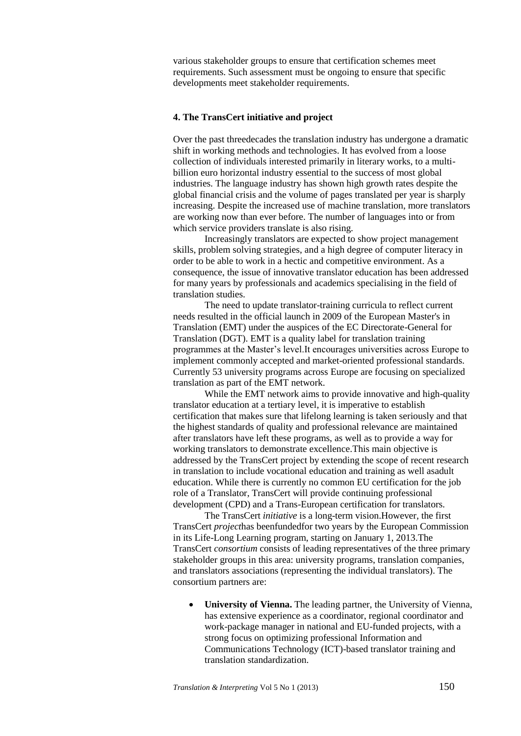various stakeholder groups to ensure that certification schemes meet requirements. Such assessment must be ongoing to ensure that specific developments meet stakeholder requirements.

#### **4. The TransCert initiative and project**

Over the past threedecades the translation industry has undergone a dramatic shift in working methods and technologies. It has evolved from a loose collection of individuals interested primarily in literary works, to a multibillion euro horizontal industry essential to the success of most global industries. The language industry has shown high growth rates despite the global financial crisis and the volume of pages translated per year is sharply increasing. Despite the increased use of machine translation, more translators are working now than ever before. The number of languages into or from which service providers translate is also rising.

Increasingly translators are expected to show project management skills, problem solving strategies, and a high degree of computer literacy in order to be able to work in a hectic and competitive environment. As a consequence, the issue of innovative translator education has been addressed for many years by professionals and academics specialising in the field of translation studies.

The need to update translator-training curricula to reflect current needs resulted in the official launch in 2009 of the European Master's in Translation (EMT) under the auspices of the EC Directorate-General for Translation (DGT). EMT is a quality label for translation training programmes at the Master's level.It encourages universities across Europe to implement commonly accepted and market-oriented professional standards. Currently 53 university programs across Europe are focusing on specialized translation as part of the EMT network.

While the EMT network aims to provide innovative and high-quality translator education at a tertiary level, it is imperative to establish certification that makes sure that lifelong learning is taken seriously and that the highest standards of quality and professional relevance are maintained after translators have left these programs, as well as to provide a way for working translators to demonstrate excellence.This main objective is addressed by the TransCert project by extending the scope of recent research in translation to include vocational education and training as well asadult education. While there is currently no common EU certification for the job role of a Translator, TransCert will provide continuing professional development (CPD) and a Trans-European certification for translators.

The TransCert *initiative* is a long-term vision.However, the first TransCert *project*has beenfundedfor two years by the European Commission in its Life-Long Learning program, starting on January 1, 2013.The TransCert *consortium* consists of leading representatives of the three primary stakeholder groups in this area: university programs, translation companies, and translators associations (representing the individual translators). The consortium partners are:

 **University of Vienna.** The leading partner, the University of Vienna, has extensive experience as a coordinator, regional coordinator and work-package manager in national and EU-funded projects, with a strong focus on optimizing professional Information and Communications Technology (ICT)-based translator training and translation standardization.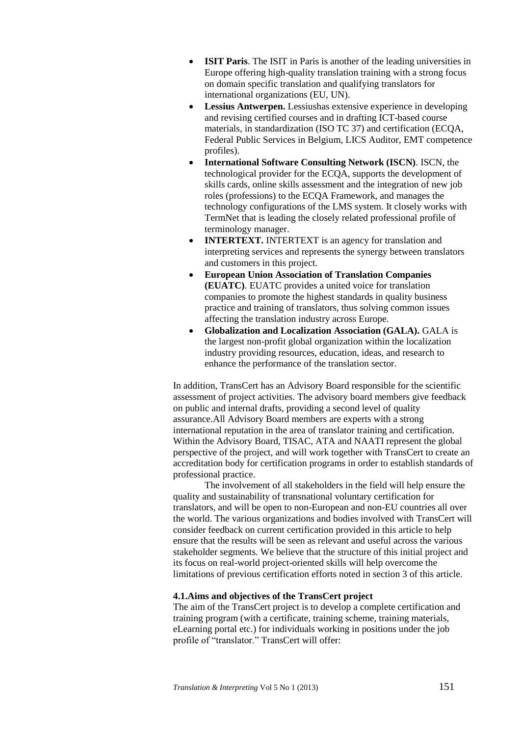- **ISIT Paris**. The ISIT in Paris is another of the leading universities in Europe offering high-quality translation training with a strong focus on domain specific translation and qualifying translators for international organizations (EU, UN).
- **Lessius Antwerpen.** Lessiushas extensive experience in developing and revising certified courses and in drafting ICT-based course materials, in standardization (ISO TC 37) and certification (ECQA, Federal Public Services in Belgium, LICS Auditor, EMT competence profiles).
- **International Software Consulting Network (ISCN)**. ISCN, the technological provider for the ECQA, supports the development of skills cards, online skills assessment and the integration of new job roles (professions) to the ECQA Framework, and manages the technology configurations of the LMS system. It closely works with TermNet that is leading the closely related professional profile of terminology manager.
- **INTERTEXT.** INTERTEXT is an agency for translation and interpreting services and represents the synergy between translators and customers in this project.
- **European Union Association of Translation Companies (EUATC)**. EUATC provides a united voice for translation companies to promote the highest standards in quality business practice and training of translators, thus solving common issues affecting the translation industry across Europe.
- **Globalization and Localization Association (GALA).** GALA is the largest non-profit global organization within the localization industry providing resources, education, ideas, and research to enhance the performance of the translation sector.

In addition, TransCert has an Advisory Board responsible for the scientific assessment of project activities. The advisory board members give feedback on public and internal drafts, providing a second level of quality assurance.All Advisory Board members are experts with a strong international reputation in the area of translator training and certification. Within the Advisory Board, TISAC, ATA and NAATI represent the global perspective of the project, and will work together with TransCert to create an accreditation body for certification programs in order to establish standards of professional practice.

The involvement of all stakeholders in the field will help ensure the quality and sustainability of transnational voluntary certification for translators, and will be open to non-European and non-EU countries all over the world. The various organizations and bodies involved with TransCert will consider feedback on current certification provided in this article to help ensure that the results will be seen as relevant and useful across the various stakeholder segments. We believe that the structure of this initial project and its focus on real-world project-oriented skills will help overcome the limitations of previous certification efforts noted in section 3 of this article.

## **4.1.Aims and objectives of the TransCert project**

The aim of the TransCert project is to develop a complete certification and training program (with a certificate, training scheme, training materials, eLearning portal etc.) for individuals working in positions under the job profile of "translator." TransCert will offer: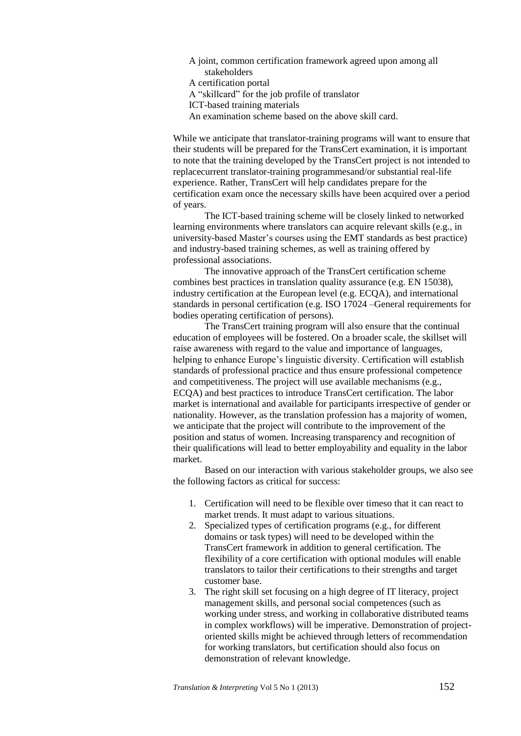A joint, common certification framework agreed upon among all stakeholders A certification portal A "skillcard" for the job profile of translator ICT-based training materials An examination scheme based on the above skill card.

While we anticipate that translator-training programs will want to ensure that

their students will be prepared for the TransCert examination, it is important to note that the training developed by the TransCert project is not intended to replacecurrent translator-training programmesand/or substantial real-life experience. Rather, TransCert will help candidates prepare for the certification exam once the necessary skills have been acquired over a period of years.

The ICT-based training scheme will be closely linked to networked learning environments where translators can acquire relevant skills (e.g., in university-based Master's courses using the EMT standards as best practice) and industry-based training schemes, as well as training offered by professional associations.

The innovative approach of the TransCert certification scheme combines best practices in translation quality assurance (e.g. EN 15038), industry certification at the European level (e.g. ECQA), and international standards in personal certification (e.g. ISO 17024 –General requirements for bodies operating certification of persons).

The TransCert training program will also ensure that the continual education of employees will be fostered. On a broader scale, the skillset will raise awareness with regard to the value and importance of languages, helping to enhance Europe's linguistic diversity. Certification will establish standards of professional practice and thus ensure professional competence and competitiveness. The project will use available mechanisms (e.g., ECQA) and best practices to introduce TransCert certification. The labor market is international and available for participants irrespective of gender or nationality. However, as the translation profession has a majority of women, we anticipate that the project will contribute to the improvement of the position and status of women. Increasing transparency and recognition of their qualifications will lead to better employability and equality in the labor market.

Based on our interaction with various stakeholder groups, we also see the following factors as critical for success:

- 1. Certification will need to be flexible over timeso that it can react to market trends. It must adapt to various situations.
- 2. Specialized types of certification programs (e.g., for different domains or task types) will need to be developed within the TransCert framework in addition to general certification. The flexibility of a core certification with optional modules will enable translators to tailor their certifications to their strengths and target customer base.
- 3. The right skill set focusing on a high degree of IT literacy, project management skills, and personal social competences (such as working under stress, and working in collaborative distributed teams in complex workflows) will be imperative. Demonstration of projectoriented skills might be achieved through letters of recommendation for working translators, but certification should also focus on demonstration of relevant knowledge.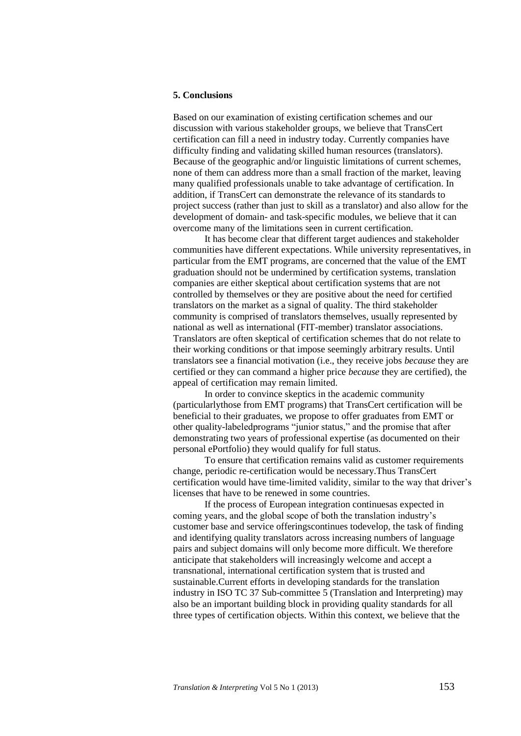#### **5. Conclusions**

Based on our examination of existing certification schemes and our discussion with various stakeholder groups, we believe that TransCert certification can fill a need in industry today. Currently companies have difficulty finding and validating skilled human resources (translators). Because of the geographic and/or linguistic limitations of current schemes, none of them can address more than a small fraction of the market, leaving many qualified professionals unable to take advantage of certification. In addition, if TransCert can demonstrate the relevance of its standards to project success (rather than just to skill as a translator) and also allow for the development of domain- and task-specific modules, we believe that it can overcome many of the limitations seen in current certification.

It has become clear that different target audiences and stakeholder communities have different expectations. While university representatives, in particular from the EMT programs, are concerned that the value of the EMT graduation should not be undermined by certification systems, translation companies are either skeptical about certification systems that are not controlled by themselves or they are positive about the need for certified translators on the market as a signal of quality. The third stakeholder community is comprised of translators themselves, usually represented by national as well as international (FIT-member) translator associations. Translators are often skeptical of certification schemes that do not relate to their working conditions or that impose seemingly arbitrary results. Until translators see a financial motivation (i.e., they receive jobs *because* they are certified or they can command a higher price *because* they are certified), the appeal of certification may remain limited.

In order to convince skeptics in the academic community (particularlythose from EMT programs) that TransCert certification will be beneficial to their graduates, we propose to offer graduates from EMT or other quality-labeledprograms "junior status," and the promise that after demonstrating two years of professional expertise (as documented on their personal ePortfolio) they would qualify for full status.

To ensure that certification remains valid as customer requirements change, periodic re-certification would be necessary.Thus TransCert certification would have time-limited validity, similar to the way that driver's licenses that have to be renewed in some countries.

If the process of European integration continuesas expected in coming years, and the global scope of both the translation industry's customer base and service offeringscontinues todevelop, the task of finding and identifying quality translators across increasing numbers of language pairs and subject domains will only become more difficult. We therefore anticipate that stakeholders will increasingly welcome and accept a transnational, international certification system that is trusted and sustainable.Current efforts in developing standards for the translation industry in ISO TC 37 Sub-committee 5 (Translation and Interpreting) may also be an important building block in providing quality standards for all three types of certification objects. Within this context, we believe that the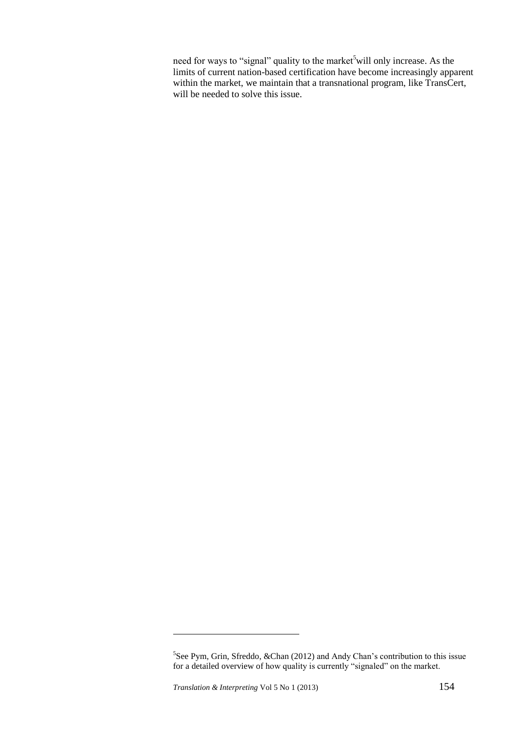need for ways to "signal" quality to the market<sup>5</sup>will only increase. As the limits of current nation-based certification have become increasingly apparent within the market, we maintain that a transnational program, like TransCert, will be needed to solve this issue.

<u>.</u>

<sup>&</sup>lt;sup>5</sup>See Pym, Grin, Sfreddo, &Chan (2012) and Andy Chan's contribution to this issue for a detailed overview of how quality is currently "signaled" on the market.